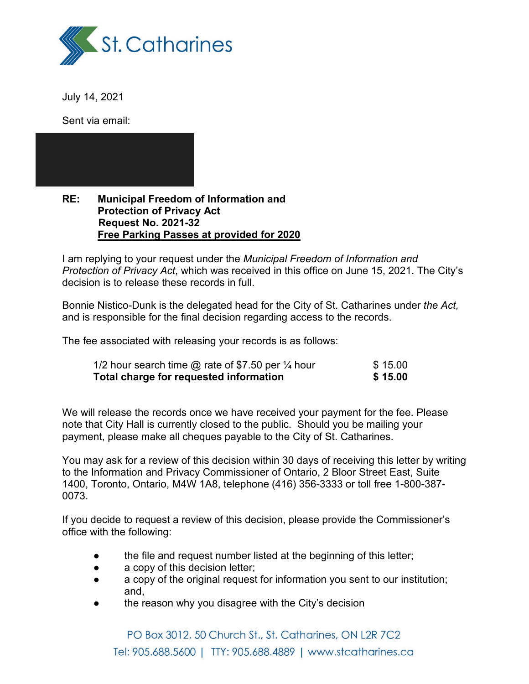

July 14, 2021

Sent via email:

#### **RE: Municipal Freedom of Information and Protection of Privacy Act Request No. 2021-32 Free Parking Passes at provided for 2020**

I am replying to your request under the *Municipal Freedom of Information and Protection of Privacy Act*, which was received in this office on June 15, 2021. The City's decision is to release these records in full.

Bonnie Nistico-Dunk is the delegated head for the City of St. Catharines under *the Act,* and is responsible for the final decision regarding access to the records.

The fee associated with releasing your records is as follows:

| 1/2 hour search time $\omega$ rate of \$7.50 per $\frac{1}{4}$ hour | \$15.00 |
|---------------------------------------------------------------------|---------|
| Total charge for requested information                              | \$15.00 |

We will release the records once we have received your payment for the fee. Please note that City Hall is currently closed to the public. Should you be mailing your payment, please make all cheques payable to the City of St. Catharines.

You may ask for a review of this decision within 30 days of receiving this letter by writing to the Information and Privacy Commissioner of Ontario, 2 Bloor Street East, Suite 1400, Toronto, Ontario, M4W 1A8, telephone (416) 356-3333 or toll free 1-800-387- 0073.

If you decide to request a review of this decision, please provide the Commissioner's office with the following:

- the file and request number listed at the beginning of this letter;
- a copy of this decision letter;
- a copy of the original request for information you sent to our institution; and,
- the reason why you disagree with the City's decision

PO Box 3012, 50 Church St., St. Catharines, ON L2R 7C2 Tel: 905.688.5600 | TTY: 905.688.4889 | www.stcatharines.ca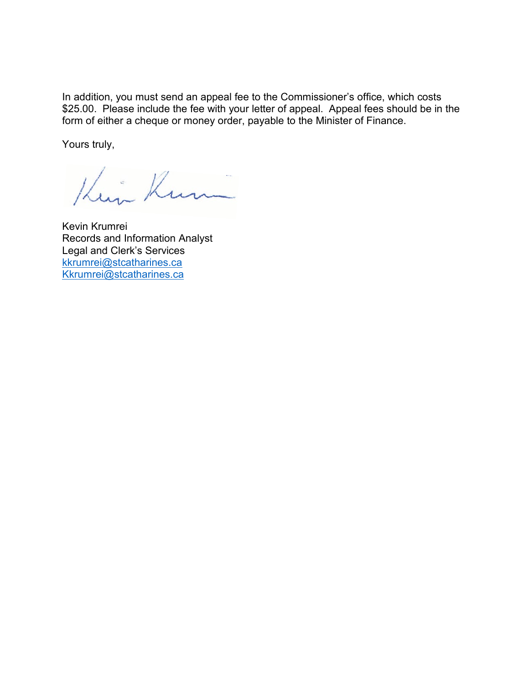In addition, you must send an appeal fee to the Commissioner's office, which costs \$25.00. Please include the fee with your letter of appeal. Appeal fees should be in the form of either a cheque or money order, payable to the Minister of Finance.

Yours truly,

King Kum

Kevin Krumrei Records and Information Analyst Legal and Clerk's Services kkrumrei@stcatharines.ca Kkrumrei@stcatharines.ca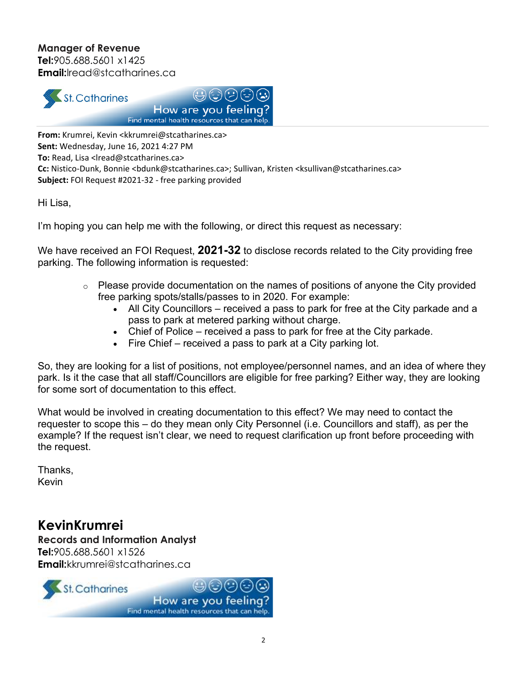### **Manager of Revenue**

**Tel:**905.688.5601 x1425 **Email:**lread@stcatharines.ca





**From:** Krumrei, Kevin <kkrumrei@stcatharines.ca> **Sent:** Wednesday, June 16, 2021 4:27 PM **To:** Read, Lisa <lread@stcatharines.ca> Cc: Nistico-Dunk, Bonnie <bdunk@stcatharines.ca>; Sullivan, Kristen <ksullivan@stcatharines.ca> Subject: FOI Request #2021-32 - free parking provided

Hi Lisa,

I'm hoping you can help me with the following, or direct this request as necessary:

We have received an FOI Request, **2021-32** to disclose records related to the City providing free parking. The following information is requested:

- $\circ$  Please provide documentation on the names of positions of anyone the City provided free parking spots/stalls/passes to in 2020. For example:
	- All City Councillors received a pass to park for free at the City parkade and a pass to park at metered parking without charge.
	- $\bullet$  Chief of Police received a pass to park for free at the City parkade.
	- $\bullet$  Fire Chief received a pass to park at a City parking lot.

So, they are looking for a list of positions, not employee/personnel names, and an idea of where they park. Is it the case that all staff/Councillors are eligible for free parking? Either way, they are looking for some sort of documentation to this effect.

What would be involved in creating documentation to this effect? We may need to contact the requester to scope this – do they mean only City Personnel (i.e. Councillors and staff), as per the example? If the request isn't clear, we need to request clarification up front before proceeding with the request.

Thanks, Kevin

# **KevinKrumrei**

**Records and Information Analyst Tel:**905.688.5601 x1526 **Email:**kkrumrei@stcatharines.ca